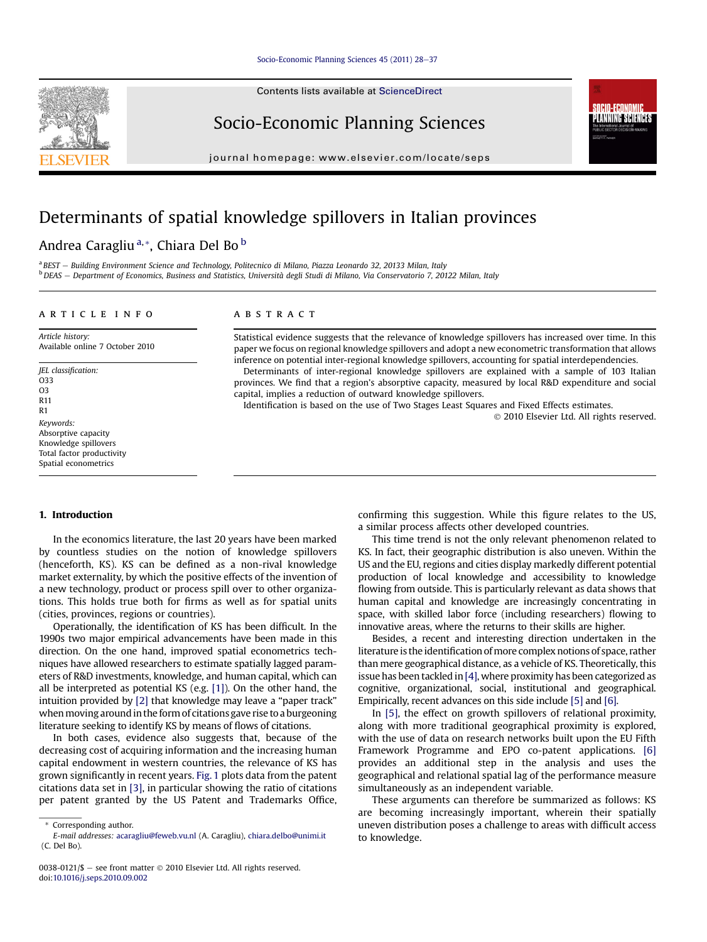Contents lists available at ScienceDirect

### Socio-Economic Planning Sciences

journal homepage: [www.elsevier.com/locate/seps](http://www.elsevier.com/locate/seps)

## Determinants of spatial knowledge spillovers in Italian provinces

### Andrea Caragliu<sup>a,\*</sup>, Chiara Del Bo<sup>b</sup>

<sup>a</sup> BEST - Building Environment Science and Technology, Politecnico di Milano, Piazza Leonardo 32, 20133 Milan, Italy <sup>b</sup> DEAS - Department of Economics, Business and Statistics, Università degli Studi di Milano, Via Conservatorio 7, 20122 Milan, Italy

#### article info

Article history: Available online 7 October 2010

JEL classification: O33 O3 R11 R1 Keywords: Absorptive capacity Knowledge spillovers Total factor productivity Spatial econometrics

#### ABSTRACT

Statistical evidence suggests that the relevance of knowledge spillovers has increased over time. In this paper we focus on regional knowledge spillovers and adopt a new econometric transformation that allows inference on potential inter-regional knowledge spillovers, accounting for spatial interdependencies.

Determinants of inter-regional knowledge spillovers are explained with a sample of 103 Italian provinces. We find that a region's absorptive capacity, measured by local R&D expenditure and social capital, implies a reduction of outward knowledge spillovers.

Identification is based on the use of Two Stages Least Squares and Fixed Effects estimates.

2010 Elsevier Ltd. All rights reserved.

SOCIO-FCONOMI LANNING SCIENCES

#### 1. Introduction

In the economics literature, the last 20 years have been marked by countless studies on the notion of knowledge spillovers (henceforth, KS). KS can be defined as a non-rival knowledge market externality, by which the positive effects of the invention of a new technology, product or process spill over to other organizations. This holds true both for firms as well as for spatial units (cities, provinces, regions or countries).

Operationally, the identification of KS has been difficult. In the 1990s two major empirical advancements have been made in this direction. On the one hand, improved spatial econometrics techniques have allowed researchers to estimate spatially lagged parameters of R&D investments, knowledge, and human capital, which can all be interpreted as potential KS (e.g. [\[1\]\)](#page--1-0). On the other hand, the intuition provided by [\[2\]](#page--1-0) that knowledge may leave a "paper track" when moving around in the form of citations gave rise to a burgeoning literature seeking to identify KS by means of flows of citations.

In both cases, evidence also suggests that, because of the decreasing cost of acquiring information and the increasing human capital endowment in western countries, the relevance of KS has grown significantly in recent years. [Fig. 1](#page-1-0) plots data from the patent citations data set in [\[3\],](#page--1-0) in particular showing the ratio of citations per patent granted by the US Patent and Trademarks Office, confirming this suggestion. While this figure relates to the US, a similar process affects other developed countries.

This time trend is not the only relevant phenomenon related to KS. In fact, their geographic distribution is also uneven. Within the US and the EU, regions and cities display markedly different potential production of local knowledge and accessibility to knowledge flowing from outside. This is particularly relevant as data shows that human capital and knowledge are increasingly concentrating in space, with skilled labor force (including researchers) flowing to innovative areas, where the returns to their skills are higher.

Besides, a recent and interesting direction undertaken in the literature is the identification of more complex notions of space, rather than mere geographical distance, as a vehicle of KS. Theoretically, this issue has been tackled in [\[4\]](#page--1-0), where proximity has been categorized as cognitive, organizational, social, institutional and geographical. Empirically, recent advances on this side include [\[5\]](#page--1-0) and [\[6\]](#page--1-0).

In [\[5\]](#page--1-0), the effect on growth spillovers of relational proximity, along with more traditional geographical proximity is explored, with the use of data on research networks built upon the EU Fifth Framework Programme and EPO co-patent applications. [\[6\]](#page--1-0) provides an additional step in the analysis and uses the geographical and relational spatial lag of the performance measure simultaneously as an independent variable.

These arguments can therefore be summarized as follows: KS are becoming increasingly important, wherein their spatially uneven distribution poses a challenge to areas with difficult access to knowledge.



<sup>\*</sup> Corresponding author.

E-mail addresses: [acaragliu@feweb.vu.nl](mailto:acaragliu@feweb.vu.nl) (A. Caragliu), [chiara.delbo@unimi.it](mailto:chiara.delbo@unimi.it) (C. Del Bo).

<sup>0038-0121/\$</sup>  $-$  see front matter  $\odot$  2010 Elsevier Ltd. All rights reserved. doi:[10.1016/j.seps.2010.09.002](http://dx.doi.org/10.1016/j.seps.2010.09.002)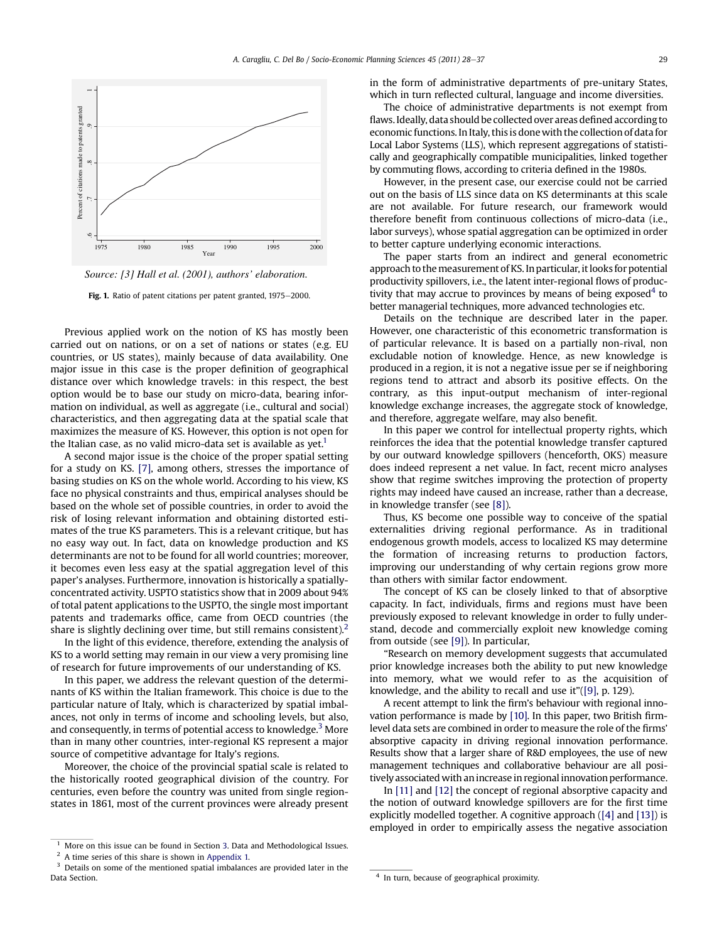<span id="page-1-0"></span>

*Source: [3] Hall et al. (2001), authors' elaboration.*  Fig. 1. Ratio of patent citations per patent granted, 1975-2000.

Previous applied work on the notion of KS has mostly been carried out on nations, or on a set of nations or states (e.g. EU countries, or US states), mainly because of data availability. One major issue in this case is the proper definition of geographical distance over which knowledge travels: in this respect, the best option would be to base our study on micro-data, bearing information on individual, as well as aggregate (i.e., cultural and social) characteristics, and then aggregating data at the spatial scale that maximizes the measure of KS. However, this option is not open for the Italian case, as no valid micro-data set is available as  $yet<sup>1</sup>$ 

A second major issue is the choice of the proper spatial setting for a study on KS. [\[7\]](#page--1-0), among others, stresses the importance of basing studies on KS on the whole world. According to his view, KS face no physical constraints and thus, empirical analyses should be based on the whole set of possible countries, in order to avoid the risk of losing relevant information and obtaining distorted estimates of the true KS parameters. This is a relevant critique, but has no easy way out. In fact, data on knowledge production and KS determinants are not to be found for all world countries; moreover, it becomes even less easy at the spatial aggregation level of this paper's analyses. Furthermore, innovation is historically a spatiallyconcentrated activity. USPTO statistics show that in 2009 about 94% of total patent applications to the USPTO, the single most important patents and trademarks office, came from OECD countries (the share is slightly declining over time, but still remains consistent).<sup>2</sup>

In the light of this evidence, therefore, extending the analysis of KS to a world setting may remain in our view a very promising line of research for future improvements of our understanding of KS.

In this paper, we address the relevant question of the determinants of KS within the Italian framework. This choice is due to the particular nature of Italy, which is characterized by spatial imbalances, not only in terms of income and schooling levels, but also, and consequently, in terms of potential access to knowledge.<sup>3</sup> More than in many other countries, inter-regional KS represent a major source of competitive advantage for Italy's regions.

Moreover, the choice of the provincial spatial scale is related to the historically rooted geographical division of the country. For centuries, even before the country was united from single regionstates in 1861, most of the current provinces were already present in the form of administrative departments of pre-unitary States, which in turn reflected cultural, language and income diversities.

The choice of administrative departments is not exempt from flaws. Ideally, data should be collected over areas defined according to economic functions. In Italy, this is donewith the collection of data for Local Labor Systems (LLS), which represent aggregations of statistically and geographically compatible municipalities, linked together by commuting flows, according to criteria defined in the 1980s.

However, in the present case, our exercise could not be carried out on the basis of LLS since data on KS determinants at this scale are not available. For future research, our framework would therefore benefit from continuous collections of micro-data (i.e., labor surveys), whose spatial aggregation can be optimized in order to better capture underlying economic interactions.

The paper starts from an indirect and general econometric approach to the measurement of KS. In particular, it looks for potential productivity spillovers, i.e., the latent inter-regional flows of productivity that may accrue to provinces by means of being exposed<sup>4</sup> to better managerial techniques, more advanced technologies etc.

Details on the technique are described later in the paper. However, one characteristic of this econometric transformation is of particular relevance. It is based on a partially non-rival, non excludable notion of knowledge. Hence, as new knowledge is produced in a region, it is not a negative issue per se if neighboring regions tend to attract and absorb its positive effects. On the contrary, as this input-output mechanism of inter-regional knowledge exchange increases, the aggregate stock of knowledge, and therefore, aggregate welfare, may also benefit.

In this paper we control for intellectual property rights, which reinforces the idea that the potential knowledge transfer captured by our outward knowledge spillovers (henceforth, OKS) measure does indeed represent a net value. In fact, recent micro analyses show that regime switches improving the protection of property rights may indeed have caused an increase, rather than a decrease, in knowledge transfer (see [\[8\]\)](#page--1-0).

Thus, KS become one possible way to conceive of the spatial externalities driving regional performance. As in traditional endogenous growth models, access to localized KS may determine the formation of increasing returns to production factors, improving our understanding of why certain regions grow more than others with similar factor endowment.

The concept of KS can be closely linked to that of absorptive capacity. In fact, individuals, firms and regions must have been previously exposed to relevant knowledge in order to fully understand, decode and commercially exploit new knowledge coming from outside (see [\[9\]\)](#page--1-0). In particular,

"Research on memory development suggests that accumulated prior knowledge increases both the ability to put new knowledge into memory, what we would refer to as the acquisition of knowledge, and the ability to recall and use it"[\(\[9\],](#page--1-0) p. 129).

A recent attempt to link the firm's behaviour with regional innovation performance is made by [\[10\]](#page--1-0). In this paper, two British firmlevel data sets are combined in order to measure the role of the firms' absorptive capacity in driving regional innovation performance. Results show that a larger share of R&D employees, the use of new management techniques and collaborative behaviour are all positively associated with anincreasein regionalinnovation performance.

In [\[11\]](#page--1-0) and [\[12\]](#page--1-0) the concept of regional absorptive capacity and the notion of outward knowledge spillovers are for the first time explicitly modelled together. A cognitive approach ([\[4\]](#page--1-0) and [\[13\]](#page--1-0)) is employed in order to empirically assess the negative association

<sup>&</sup>lt;sup>1</sup> More on this issue can be found in Section [3.](#page--1-0) Data and Methodological Issues.<br> $\frac{2}{3}$  A time series of this share is shown in Appendix 1.

<sup>&</sup>lt;sup>2</sup> A time series of this share is shown in [Appendix 1.](#page--1-0)<br><sup>3</sup> Details on some of the mentioned spatial imbalance

Details on some of the mentioned spatial imbalances are provided later in the Data Section. **A** In turn, because of geographical proximity.